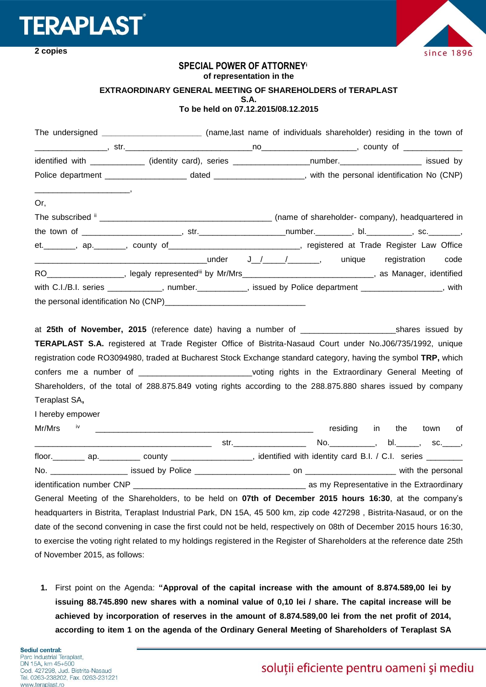

**2 copies**



## **SPECIAL POWER OF ATTORNEY<sup>i</sup>**

**of representation in the**

## **EXTRAORDINARY GENERAL MEETING OF SHAREHOLDERS of TERAPLAST S.A. To be held on 07.12.2015/08.12.2015**

|                               | The undersigned _________________________(name,last name of individuals shareholder) residing in the town of                                                                                                                  |  |                                           |
|-------------------------------|-------------------------------------------------------------------------------------------------------------------------------------------------------------------------------------------------------------------------------|--|-------------------------------------------|
|                               |                                                                                                                                                                                                                               |  |                                           |
|                               | identified with _____________ (identity card), series ___________________number.____________________ issued by                                                                                                                |  |                                           |
|                               |                                                                                                                                                                                                                               |  |                                           |
| Or,                           |                                                                                                                                                                                                                               |  |                                           |
|                               |                                                                                                                                                                                                                               |  |                                           |
|                               |                                                                                                                                                                                                                               |  |                                           |
|                               | et. _______, ap. ______, county of ____________________________, registered at Trade Register Law Office                                                                                                                      |  |                                           |
|                               |                                                                                                                                                                                                                               |  | code                                      |
|                               | RO___________________, legaly representediii by Mr/Mrs____________________________, as Manager, identified                                                                                                                    |  |                                           |
|                               | with C.I./B.I. series ____________, number._________, issued by Police department ______________, with                                                                                                                        |  |                                           |
|                               |                                                                                                                                                                                                                               |  |                                           |
| Teraplast SA,                 | confers me a number of _____________________________voting rights in the Extraordinary General Meeting of<br>Shareholders, of the total of 288.875.849 voting rights according to the 288.875.880 shares issued by company    |  |                                           |
| I hereby empower              |                                                                                                                                                                                                                               |  |                                           |
|                               |                                                                                                                                                                                                                               |  | residing in the town of                   |
|                               |                                                                                                                                                                                                                               |  |                                           |
|                               | floor. _________ ap.___________ county ____________________, identified with identity card B.I. / C.I. series ________                                                                                                        |  |                                           |
|                               |                                                                                                                                                                                                                               |  |                                           |
|                               | identification number CNP and the control of the control of the control of the control of the control of the control of the control of the control of the control of the control of the control of the control of the control |  | as my Representative in the Extraordinary |
|                               | General Meeting of the Shareholders, to be held on 07th of December 2015 hours 16:30, at the company's                                                                                                                        |  |                                           |
|                               | headquarters in Bistrita, Teraplast Industrial Park, DN 15A, 45 500 km, zip code 427298, Bistrita-Nasaud, or on the                                                                                                           |  |                                           |
|                               | date of the second convening in case the first could not be held, respectively on 08th of December 2015 hours 16:30,                                                                                                          |  |                                           |
|                               | to exercise the voting right related to my holdings registered in the Register of Shareholders at the reference date 25th                                                                                                     |  |                                           |
| of November 2015, as follows: |                                                                                                                                                                                                                               |  |                                           |

**1.** First point on the Agenda: **"Approval of the capital increase with the amount of 8.874.589,00 lei by issuing 88.745.890 new shares with a nominal value of 0,10 lei / share. The capital increase will be achieved by incorporation of reserves in the amount of 8.874.589,00 lei from the net profit of 2014, according to item 1 on the agenda of the Ordinary General Meeting of Shareholders of Teraplast SA**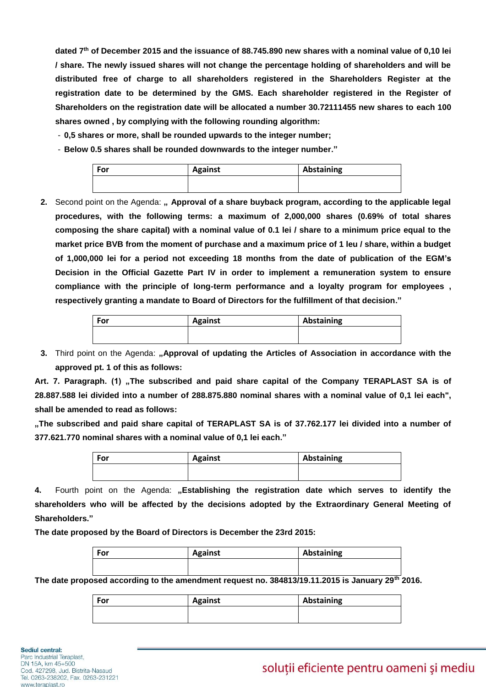**dated 7th of December 2015 and the issuance of 88.745.890 new shares with a nominal value of 0,10 lei / share. The newly issued shares will not change the percentage holding of shareholders and will be distributed free of charge to all shareholders registered in the Shareholders Register at the registration date to be determined by the GMS. Each shareholder registered in the Register of Shareholders on the registration date will be allocated a number 30.72111455 new shares to each 100 shares owned , by complying with the following rounding algorithm:**

- **0,5 shares or more, shall be rounded upwards to the integer number;**
- **Below 0.5 shares shall be rounded downwards to the integer number."**

| For | <b>Against</b> | Abstaining |
|-----|----------------|------------|
|     |                |            |

**2.** Second point on the Agenda: **"** Approval of a share buyback program, according to the applicable legal **procedures, with the following terms: a maximum of 2,000,000 shares (0.69% of total shares composing the share capital) with a nominal value of 0.1 lei / share to a minimum price equal to the market price BVB from the moment of purchase and a maximum price of 1 leu / share, within a budget of 1,000,000 lei for a period not exceeding 18 months from the date of publication of the EGM's Decision in the Official Gazette Part IV in order to implement a remuneration system to ensure compliance with the principle of long-term performance and a loyalty program for employees , respectively granting a mandate to Board of Directors for the fulfillment of that decision."**

| <b>For</b> | <b>Against</b> | Abstaining |
|------------|----------------|------------|
|            |                |            |
|            |                |            |

**3.** Third point on the Agenda: **"Approval of updating the Articles of Association in accordance with the approved pt. 1 of this as follows:**

Art. 7. Paragraph. (1) "The subscribed and paid share capital of the Company TERAPLAST SA is of **28.887.588 lei divided into a number of 288.875.880 nominal shares with a nominal value of 0,1 lei each", shall be amended to read as follows:** 

**"The subscribed and paid share capital of TERAPLAST SA is of 37.762.177 lei divided into a number of 377.621.770 nominal shares with a nominal value of 0,1 lei each."**

| For | <b>Against</b> | Abstaining |
|-----|----------------|------------|
|     |                |            |

**4.** Fourth point on the Agenda: **"Establishing the registration date which serves to identify the shareholders who will be affected by the decisions adopted by the Extraordinary General Meeting of Shareholders."**

**The date proposed by the Board of Directors is December the 23rd 2015:**

| For | <b>Against</b> | Abstaining |
|-----|----------------|------------|
|     |                |            |

**The date proposed according to the amendment request no. 384813/19.11.2015 is January 29th 2016.**

| For | <b>Against</b> | Abstaining |
|-----|----------------|------------|
|     |                |            |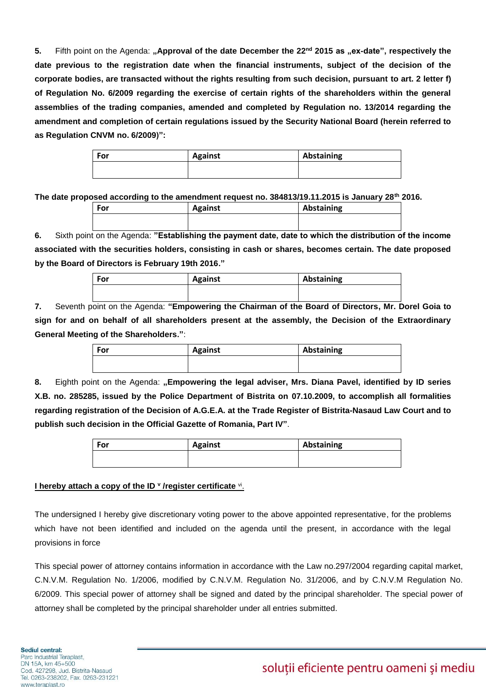**5.** Fifth point on the Agenda: **"Approval of the date December the 22nd 2015 as "ex-date", respectively the date previous to the registration date when the financial instruments, subject of the decision of the corporate bodies, are transacted without the rights resulting from such decision, pursuant to art. 2 letter f) of Regulation No. 6/2009 regarding the exercise of certain rights of the shareholders within the general assemblies of the trading companies, amended and completed by Regulation no. 13/2014 regarding the amendment and completion of certain regulations issued by the Security National Board (herein referred to as Regulation CNVM no. 6/2009)":**

| For | <b>Against</b> | Abstaining |
|-----|----------------|------------|
|     |                |            |

**The date proposed according to the amendment request no. 384813/19.11.2015 is January 28th 2016.**

| For | <b>Against</b> | Abstaining |
|-----|----------------|------------|
|     |                |            |

**6.** Sixth point on the Agenda: **"Establishing the payment date, date to which the distribution of the income associated with the securities holders, consisting in cash or shares, becomes certain. The date proposed by the Board of Directors is February 19th 2016."**

| For | <b>Against</b> | Abstaining |
|-----|----------------|------------|
|     |                |            |

**7.** Seventh point on the Agenda: **"Empowering the Chairman of the Board of Directors, Mr. Dorel Goia to sign for and on behalf of all shareholders present at the assembly, the Decision of the Extraordinary General Meeting of the Shareholders."**:

| For | <b>Against</b> | Abstaining |
|-----|----------------|------------|
|     |                |            |

**8.** Eighth point on the Agenda: **"Empowering the legal adviser, Mrs. Diana Pavel, identified by ID series X.B. no. 285285, issued by the Police Department of Bistrita on 07.10.2009, to accomplish all formalities regarding registration of the Decision of A.G.E.A. at the Trade Register of Bistrita-Nasaud Law Court and to publish such decision in the Official Gazette of Romania, Part IV"**.

| For | <b>Against</b> | Abstaining |
|-----|----------------|------------|
|     |                |            |
|     |                |            |

## **I hereby attach a copy of the ID <sup>v</sup>/register certificate vi.**

The undersigned I hereby give discretionary voting power to the above appointed representative, for the problems which have not been identified and included on the agenda until the present, in accordance with the legal provisions in force

This special power of attorney contains information in accordance with the Law no.297/2004 regarding capital market, C.N.V.M. Regulation No. 1/2006, modified by C.N.V.M. Regulation No. 31/2006, and by C.N.V.M Regulation No. 6/2009. This special power of attorney shall be signed and dated by the principal shareholder. The special power of attorney shall be completed by the principal shareholder under all entries submitted.